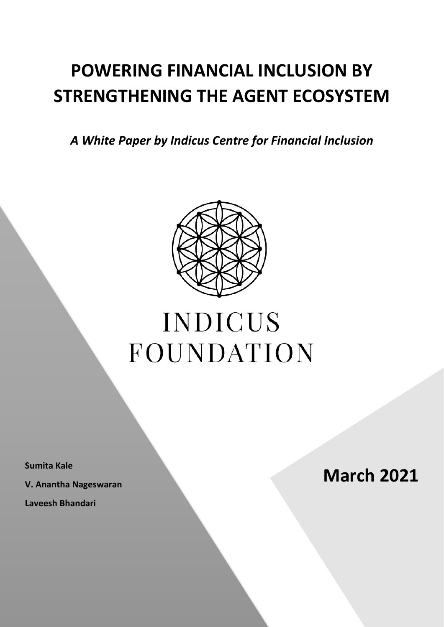## <span id="page-0-0"></span>**POWERING FINANCIAL INCLUSION BY STRENGTHENING THE AGENT ECOSYSTEM**

*A White Paper by Indicus Centre for Financial Inclusion*



# **INDICUS** FOUNDATION

**V. Anantha Nageswaran**

**Laveesh Bhandari**

**March 2021**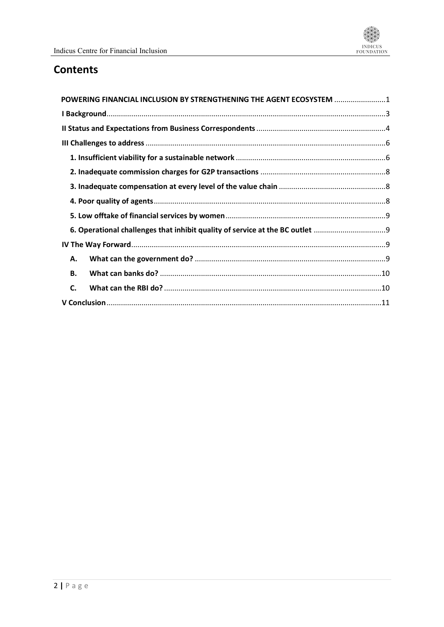### **Contents**

| POWERING FINANCIAL INCLUSION BY STRENGTHENING THE AGENT ECOSYSTEM 1 |  |
|---------------------------------------------------------------------|--|
|                                                                     |  |
|                                                                     |  |
|                                                                     |  |
|                                                                     |  |
|                                                                     |  |
|                                                                     |  |
|                                                                     |  |
|                                                                     |  |
|                                                                     |  |
|                                                                     |  |
| А.                                                                  |  |
| <b>B.</b>                                                           |  |
| C.                                                                  |  |
|                                                                     |  |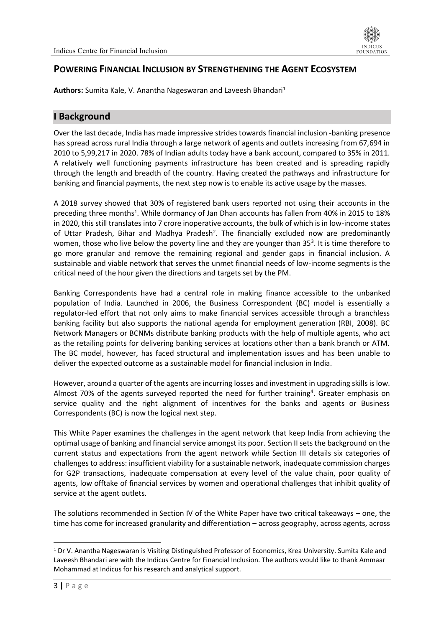

#### **POWERING FINANCIAL INCLUSION BY STRENGTHENING THE AGENT ECOSYSTEM**

Authors: Sumita Kale, V. Anantha Nageswaran and Laveesh Bhandari<sup>1</sup>

#### <span id="page-2-0"></span>**I Background**

Over the last decade, India has made impressive strides towards financial inclusion -banking presence has spread across rural India through a large network of agents and outlets increasing from 67,694 in 2010 to 5,99,217 in 2020. 78% of Indian adults today have a bank account, compared to 35% in 2011. A relatively well functioning payments infrastructure has been created and is spreading rapidly through the length and breadth of the country. Having created the pathways and infrastructure for banking and financial payments, the next step now is to enable its active usage by the masses.

A 2018 survey showed that 30% of registered bank users reported not using their accounts in the preceding three months<sup>1</sup>. While dormancy of Jan Dhan accounts has fallen from 40% in 2015 to 18% in 2020, this still translates into 7 crore inoperative accounts, the bulk of which is in low-income states of Uttar Pradesh, Bihar and Madhya Pradesh<sup>2</sup>. The financially excluded now are predominantly women, those who live below the poverty line and they are younger than 35<sup>3</sup>. It is time therefore to go more granular and remove the remaining regional and gender gaps in financial inclusion. A sustainable and viable network that serves the unmet financial needs of low-income segments is the critical need of the hour given the directions and targets set by the PM.

Banking Correspondents have had a central role in making finance accessible to the unbanked population of India. Launched in 2006, the Business Correspondent (BC) model is essentially a regulator-led effort that not only aims to make financial services accessible through a branchless banking facility but also supports the national agenda for employment generation (RBI, 2008). BC Network Managers or BCNMs distribute banking products with the help of multiple agents, who act as the retailing points for delivering banking services at locations other than a bank branch or ATM. The BC model, however, has faced structural and implementation issues and has been unable to deliver the expected outcome as a sustainable model for financial inclusion in India.

However, around a quarter of the agents are incurring losses and investment in upgrading skills is low. Almost 70% of the agents surveyed reported the need for further training<sup>4</sup>. Greater emphasis on service quality and the right alignment of incentives for the banks and agents or Business Correspondents (BC) is now the logical next step.

This White Paper examines the challenges in the agent network that keep India from achieving the optimal usage of banking and financial service amongst its poor. Section II sets the background on the current status and expectations from the agent network while Section III details six categories of challenges to address: insufficient viability for a sustainable network, inadequate commission charges for G2P transactions, inadequate compensation at every level of the value chain, poor quality of agents, low offtake of financial services by women and operational challenges that inhibit quality of service at the agent outlets.

The solutions recommended in Section IV of the White Paper have two critical takeaways – one, the time has come for increased granularity and differentiation – across geography, across agents, across

<sup>1</sup> Dr V. Anantha Nageswaran is Visiting Distinguished Professor of Economics, Krea University. Sumita Kale and Laveesh Bhandari are with the Indicus Centre for Financial Inclusion. The authors would like to thank Ammaar Mohammad at Indicus for his research and analytical support.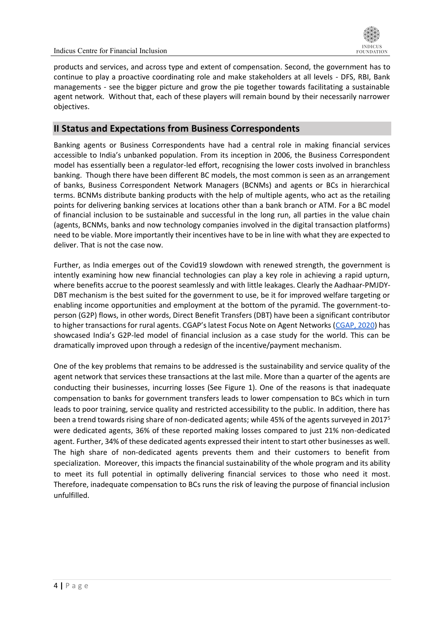

products and services, and across type and extent of compensation. Second, the government has to continue to play a proactive coordinating role and make stakeholders at all levels - DFS, RBI, Bank managements - see the bigger picture and grow the pie together towards facilitating a sustainable agent network. Without that, each of these players will remain bound by their necessarily narrower objectives.

#### <span id="page-3-0"></span>**II Status and Expectations from Business Correspondents**

Banking agents or Business Correspondents have had a central role in making financial services accessible to India's unbanked population. From its inception in 2006, the Business Correspondent model has essentially been a regulator-led effort, recognising the lower costs involved in branchless banking. Though there have been different BC models, the most common is seen as an arrangement of banks, Business Correspondent Network Managers (BCNMs) and agents or BCs in hierarchical terms. BCNMs distribute banking products with the help of multiple agents, who act as the retailing points for delivering banking services at locations other than a bank branch or ATM. For a BC model of financial inclusion to be sustainable and successful in the long run, all parties in the value chain (agents, BCNMs, banks and now technology companies involved in the digital transaction platforms) need to be viable. More importantly their incentives have to be in line with what they are expected to deliver. That is not the case now.

Further, as India emerges out of the Covid19 slowdown with renewed strength, the government is intently examining how new financial technologies can play a key role in achieving a rapid upturn, where benefits accrue to the poorest seamlessly and with little leakages. Clearly the Aadhaar-PMJDY-DBT mechanism is the best suited for the government to use, be it for improved welfare targeting or enabling income opportunities and employment at the bottom of the pyramid. The government-toperson (G2P) flows, in other words, Direct Benefit Transfers (DBT) have been a significant contributor to higher transactions for rural agents. CGAP's latest Focus Note on Agent Networks ([CGAP, 2020\)](https://www.cgap.org/sites/default/files/publications/2020_12_Focus_Note_Agent_Network_Journeys.pdf) has showcased India's G2P-led model of financial inclusion as a case study for the world. This can be dramatically improved upon through a redesign of the incentive/payment mechanism.

One of the key problems that remains to be addressed is the sustainability and service quality of the agent network that services these transactions at the last mile. More than a quarter of the agents are conducting their businesses, incurring losses (See Figure 1). One of the reasons is that inadequate compensation to banks for government transfers leads to lower compensation to BCs which in turn leads to poor training, service quality and restricted accessibility to the public. In addition, there has been a trend towards rising share of non-dedicated agents; while 45% of the agents surveyed in 2017<sup>5</sup> were dedicated agents, 36% of these reported making losses compared to just 21% non-dedicated agent. Further, 34% of these dedicated agents expressed their intent to start other businesses as well. The high share of non-dedicated agents prevents them and their customers to benefit from specialization. Moreover, this impacts the financial sustainability of the whole program and its ability to meet its full potential in optimally delivering financial services to those who need it most. Therefore, inadequate compensation to BCs runs the risk of leaving the purpose of financial inclusion unfulfilled.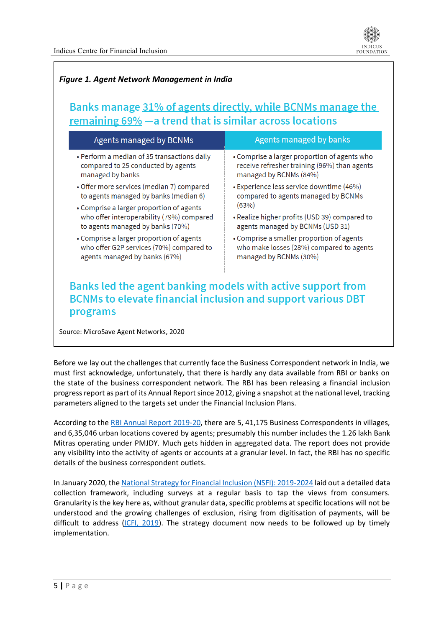

#### *Figure 1. Agent Network Management in India*

#### Banks manage 31% of agents directly, while BCNMs manage the remaining 69% - a trend that is similar across locations

| <b>Agents managed by BCNMs</b>                                                                                                                 | Agents managed by banks                       |  |
|------------------------------------------------------------------------------------------------------------------------------------------------|-----------------------------------------------|--|
| • Perform a median of 35 transactions daily                                                                                                    | • Comprise a larger proportion of agents who  |  |
| compared to 25 conducted by agents                                                                                                             | receive refresher training (96%) than agents  |  |
| managed by banks                                                                                                                               | managed by BCNMs (84%)                        |  |
| • Offer more services (median 7) compared                                                                                                      | • Experience less service downtime (46%)      |  |
| to agents managed by banks (median 6)                                                                                                          | compared to agents managed by BCNMs           |  |
| • Comprise a larger proportion of agents                                                                                                       | (63%)                                         |  |
| who offer interoperability (79%) compared                                                                                                      | • Realize higher profits (USD 39) compared to |  |
| to agents managed by banks (70%)                                                                                                               | agents managed by BCNMs (USD 31)              |  |
| • Comprise a larger proportion of agents                                                                                                       | • Comprise a smaller proportion of agents     |  |
| who offer G2P services (70%) compared to                                                                                                       | who make losses (28%) compared to agents      |  |
| agents managed by banks (67%)                                                                                                                  | managed by BCNMs (30%)                        |  |
| Banks led the agent banking models with active support from<br><b>BCNMs to elevate financial inclusion and support various DBT</b><br>programs |                                               |  |
| Source: MicroSave Agent Networks, 2020                                                                                                         |                                               |  |

Before we lay out the challenges that currently face the Business Correspondent network in India, we must first acknowledge, unfortunately, that there is hardly any data available from RBI or banks on the state of the business correspondent network. The RBI has been releasing a financial inclusion progress report as part of its Annual Report since 2012, giving a snapshot at the national level, tracking parameters aligned to the targets set under the Financial Inclusion Plans.

According to the [RBI Annual Report 2019-20,](https://www.rbi.org.in/Scripts/AnnualReportPublications.aspx?Id=1288) there are 5, 41,175 Business Correspondents in villages, and 6,35,046 urban locations covered by agents; presumably this number includes the 1.26 lakh Bank Mitras operating under PMJDY. Much gets hidden in aggregated data. The report does not provide any visibility into the activity of agents or accounts at a granular level. In fact, the RBI has no specific details of the business correspondent outlets.

In January 2020, the [National Strategy for Financial Inclusion \(NSFI\): 2019-2024](https://www.rbi.org.in/Scripts/PublicationReportDetails.aspx?UrlPage=&ID=1154#3) laid out a detailed data collection framework, including surveys at a regular basis to tap the views from consumers. Granularity is the key here as, without granular data, specific problems at specific locations will not be understood and the growing challenges of exclusion, rising from digitisation of payments, will be difficult to address  $(ICFI, 2019)$ . The strategy document now needs to be followed up by timely implementation.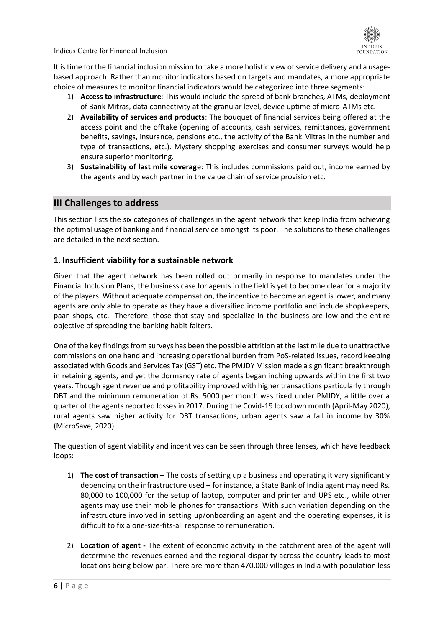It is time for the financial inclusion mission to take a more holistic view of service delivery and a usagebased approach. Rather than monitor indicators based on targets and mandates, a more appropriate choice of measures to monitor financial indicators would be categorized into three segments:

- 1) **Access to infrastructure**: This would include the spread of bank branches, ATMs, deployment of Bank Mitras, data connectivity at the granular level, device uptime of micro-ATMs etc.
- 2) **Availability of services and products**: The bouquet of financial services being offered at the access point and the offtake (opening of accounts, cash services, remittances, government benefits, savings, insurance, pensions etc., the activity of the Bank Mitras in the number and type of transactions, etc.). Mystery shopping exercises and consumer surveys would help ensure superior monitoring.
- 3) **Sustainability of last mile coverag**e: This includes commissions paid out, income earned by the agents and by each partner in the value chain of service provision etc.

#### <span id="page-5-0"></span>**III Challenges to address**

This section lists the six categories of challenges in the agent network that keep India from achieving the optimal usage of banking and financial service amongst its poor. The solutions to these challenges are detailed in the next section.

#### <span id="page-5-1"></span>**1. Insufficient viability for a sustainable network**

Given that the agent network has been rolled out primarily in response to mandates under the Financial Inclusion Plans, the business case for agents in the field is yet to become clear for a majority of the players. Without adequate compensation, the incentive to become an agent is lower, and many agents are only able to operate as they have a diversified income portfolio and include shopkeepers, paan-shops, etc. Therefore, those that stay and specialize in the business are low and the entire objective of spreading the banking habit falters.

One of the key findings from surveys has been the possible attrition at the last mile due to unattractive commissions on one hand and increasing operational burden from PoS-related issues, record keeping associated with Goods and Services Tax (GST) etc. The PMJDY Mission made a significant breakthrough in retaining agents, and yet the dormancy rate of agents began inching upwards within the first two years. Though agent revenue and profitability improved with higher transactions particularly through DBT and the minimum remuneration of Rs. 5000 per month was fixed under PMJDY, a little over a quarter of the agents reported losses in 2017. During the Covid-19 lockdown month (April-May 2020), rural agents saw higher activity for DBT transactions, urban agents saw a fall in income by 30% (MicroSave, 2020).

The question of agent viability and incentives can be seen through three lenses, which have feedback loops:

- 1) **The cost of transaction –** The costs of setting up a business and operating it vary significantly depending on the infrastructure used – for instance, a State Bank of India agent may need Rs. 80,000 to 100,000 for the setup of laptop, computer and printer and UPS etc., while other agents may use their mobile phones for transactions. With such variation depending on the infrastructure involved in setting up/onboarding an agent and the operating expenses, it is difficult to fix a one-size-fits-all response to remuneration.
- 2) **Location of agent -** The extent of economic activity in the catchment area of the agent will determine the revenues earned and the regional disparity across the country leads to most locations being below par. There are more than 470,000 villages in India with population less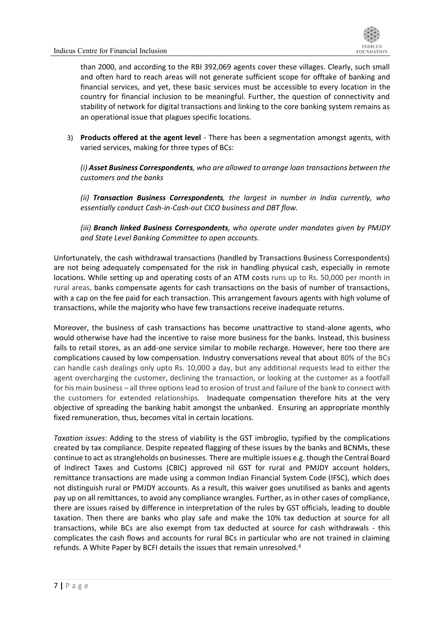

than 2000, and according to the RBI 392,069 agents cover these villages. Clearly, such small and often hard to reach areas will not generate sufficient scope for offtake of banking and financial services, and yet, these basic services must be accessible to every location in the country for financial inclusion to be meaningful. Further, the question of connectivity and stability of network for digital transactions and linking to the core banking system remains as an operational issue that plagues specific locations.

3) **Products offered at the agent level** - There has been a segmentation amongst agents, with varied services, making for three types of BCs:

*(i) Asset Business Correspondents, who are allowed to arrange loan transactions between the customers and the banks*

*(ii) Transaction Business Correspondents, the largest in number in India currently, who essentially conduct Cash-in-Cash-out CICO business and DBT flow.*

*(iii) Branch linked Business Correspondents, who operate under mandates given by PMJDY and State Level Banking Committee to open accounts.*

Unfortunately, the cash withdrawal transactions (handled by Transactions Business Correspondents) are not being adequately compensated for the risk in handling physical cash, especially in remote locations. While setting up and operating costs of an ATM costs runs up to Rs. 50,000 per month in rural areas, banks compensate agents for cash transactions on the basis of number of transactions, with a cap on the fee paid for each transaction. This arrangement favours agents with high volume of transactions, while the majority who have few transactions receive inadequate returns.

Moreover, the business of cash transactions has become unattractive to stand-alone agents, who would otherwise have had the incentive to raise more business for the banks. Instead, this business falls to retail stores, as an add-one service similar to mobile recharge. However, here too there are complications caused by low compensation. Industry conversations reveal that about 80% of the BCs can handle cash dealings only upto Rs. 10,000 a day, but any additional requests lead to either the agent overcharging the customer, declining the transaction, or looking at the customer as a footfall for his main business – all three options lead to erosion of trust and failure of the bank to connect with the customers for extended relationships. Inadequate compensation therefore hits at the very objective of spreading the banking habit amongst the unbanked. Ensuring an appropriate monthly fixed remuneration, thus, becomes vital in certain locations.

*Taxation issues*: Adding to the stress of viability is the GST imbroglio, typified by the complications created by tax compliance. Despite repeated flagging of these issues by the banks and BCNMs, these continue to act as strangleholds on businesses. There are multiple issues e.g. though the Central Board of Indirect Taxes and Customs (CBIC) approved nil GST for rural and PMJDY account holders, remittance transactions are made using a common Indian Financial System Code (IFSC), which does not distinguish rural or PMJDY accounts. As a result, this waiver goes unutilised as banks and agents pay up on all remittances, to avoid any compliance wrangles. Further, as in other cases of compliance, there are issues raised by difference in interpretation of the rules by GST officials, leading to double taxation. Then there are banks who play safe and make the 10% tax deduction at source for all transactions, while BCs are also exempt from tax deducted at source for cash withdrawals - this complicates the cash flows and accounts for rural BCs in particular who are not trained in claiming refunds. A White Paper by BCFI details the issues that remain unresolved.6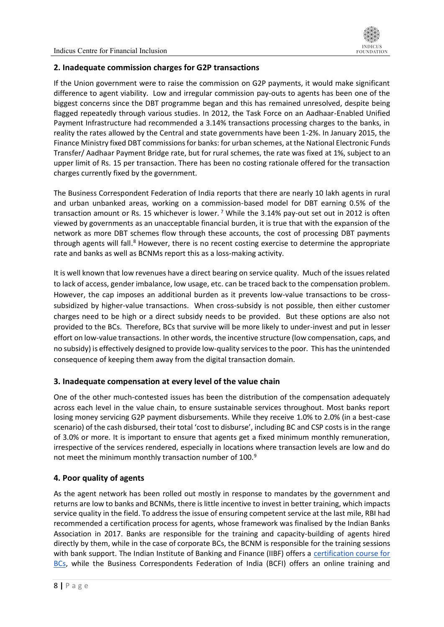

#### <span id="page-7-0"></span>**2. Inadequate commission charges for G2P transactions**

If the Union government were to raise the commission on G2P payments, it would make significant difference to agent viability. Low and irregular commission pay-outs to agents has been one of the biggest concerns since the DBT programme began and this has remained unresolved, despite being flagged repeatedly through various studies. In 2012, the Task Force on an Aadhaar-Enabled Unified Payment Infrastructure had recommended a 3.14% transactions processing charges to the banks, in reality the rates allowed by the Central and state governments have been 1-2%. In January 2015, the Finance Ministry fixed DBT commissions for banks: for urban schemes, at the National Electronic Funds Transfer/ Aadhaar Payment Bridge rate, but for rural schemes, the rate was fixed at 1%, subject to an upper limit of Rs. 15 per transaction. There has been no costing rationale offered for the transaction charges currently fixed by the government.

The Business Correspondent Federation of India reports that there are nearly 10 lakh agents in rural and urban unbanked areas, working on a commission-based model for DBT earning 0.5% of the transaction amount or Rs. 15 whichever is lower.<sup>7</sup> While the 3.14% pay-out set out in 2012 is often viewed by governments as an unacceptable financial burden, it is true that with the expansion of the network as more DBT schemes flow through these accounts, the cost of processing DBT payments through agents will fall.<sup>8</sup> However, there is no recent costing exercise to determine the appropriate rate and banks as well as BCNMs report this as a loss-making activity.

It is well known that low revenues have a direct bearing on service quality. Much of the issues related to lack of access, gender imbalance, low usage, etc. can be traced back to the compensation problem. However, the cap imposes an additional burden as it prevents low-value transactions to be crosssubsidized by higher-value transactions. When cross-subsidy is not possible, then either customer charges need to be high or a direct subsidy needs to be provided. But these options are also not provided to the BCs. Therefore, BCs that survive will be more likely to under-invest and put in lesser effort on low-value transactions. In other words, the incentive structure (low compensation, caps, and no subsidy) is effectively designed to provide low-quality services to the poor. This has the unintended consequence of keeping them away from the digital transaction domain.

#### <span id="page-7-1"></span>**3. Inadequate compensation at every level of the value chain**

One of the other much-contested issues has been the distribution of the compensation adequately across each level in the value chain, to ensure sustainable services throughout. Most banks report losing money servicing G2P payment disbursements. While they receive 1.0% to 2.0% (in a best-case scenario) of the cash disbursed, their total 'cost to disburse', including BC and CSP costs is in the range of 3.0% or more. It is important to ensure that agents get a fixed minimum monthly remuneration, irrespective of the services rendered, especially in locations where transaction levels are low and do not meet the minimum monthly transaction number of 100.<sup>9</sup>

#### <span id="page-7-2"></span>**4. Poor quality of agents**

As the agent network has been rolled out mostly in response to mandates by the government and returns are low to banks and BCNMs, there is little incentive to invest in better training, which impacts service quality in the field. To address the issue of ensuring competent service at the last mile, RBI had recommended a certification process for agents, whose framework was finalised by the Indian Banks Association in 2017. Banks are responsible for the training and capacity-building of agents hired directly by them, while in the case of corporate BCs, the BCNM is responsible for the training sessions with bank support. The Indian Institute of Banking and Finance (IIBF) offers a [certification course for](http://www.iibf.org.in/Financial_Inclusion_Book_Release.asp?bookrelease=1)  [BCs,](http://www.iibf.org.in/Financial_Inclusion_Book_Release.asp?bookrelease=1) while the Business Correspondents Federation of India (BCFI) offers an online training and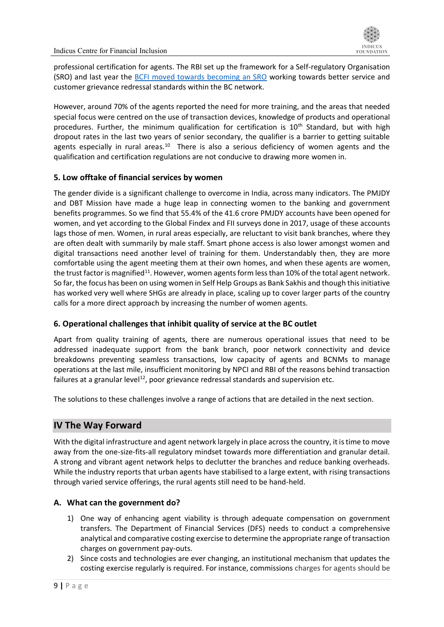professional certification for agents. The RBI set up the framework for a Self-regulatory Organisation (SRO) and last year the [BCFI moved towards becoming an SRO](https://www.thehindubusinessline.com/money-and-banking/bcfi-moves-to-become-self-regulatory-organisation/article32917461.ece) working towards better service and customer grievance redressal standards within the BC network.

However, around 70% of the agents reported the need for more training, and the areas that needed special focus were centred on the use of transaction devices, knowledge of products and operational procedures. Further, the minimum qualification for certification is  $10<sup>th</sup>$  Standard, but with high dropout rates in the last two years of senior secondary, the qualifier is a barrier to getting suitable agents especially in rural areas.<sup>10</sup> There is also a serious deficiency of women agents and the qualification and certification regulations are not conducive to drawing more women in.

#### <span id="page-8-0"></span>**5. Low offtake of financial services by women**

The gender divide is a significant challenge to overcome in India, across many indicators. The PMJDY and DBT Mission have made a huge leap in connecting women to the banking and government benefits programmes. So we find that 55.4% of the 41.6 crore PMJDY accounts have been opened for women, and yet according to the Global Findex and FII surveys done in 2017, usage of these accounts lags those of men. Women, in rural areas especially, are reluctant to visit bank branches, where they are often dealt with summarily by male staff. Smart phone access is also lower amongst women and digital transactions need another level of training for them. Understandably then, they are more comfortable using the agent meeting them at their own homes, and when these agents are women, the trust factor is magnified<sup>11</sup>. However, women agents form less than 10% of the total agent network. So far, the focus has been on using women in Self Help Groups as Bank Sakhis and though this initiative has worked very well where SHGs are already in place, scaling up to cover larger parts of the country calls for a more direct approach by increasing the number of women agents.

#### <span id="page-8-1"></span>**6. Operational challenges that inhibit quality of service at the BC outlet**

Apart from quality training of agents, there are numerous operational issues that need to be addressed inadequate support from the bank branch, poor network connectivity and device breakdowns preventing seamless transactions, low capacity of agents and BCNMs to manage operations at the last mile, insufficient monitoring by NPCI and RBI of the reasons behind transaction failures at a granular level $^{12}$ , poor grievance redressal standards and supervision etc.

The solutions to these challenges involve a range of actions that are detailed in the next section.

#### <span id="page-8-2"></span>**IV The Way Forward**

With the digital infrastructure and agent network largely in place across the country, it is time to move away from the one-size-fits-all regulatory mindset towards more differentiation and granular detail. A strong and vibrant agent network helps to declutter the branches and reduce banking overheads. While the industry reports that urban agents have stabilised to a large extent, with rising transactions through varied service offerings, the rural agents still need to be hand-held.

#### <span id="page-8-3"></span>**A. What can the government do?**

- 1) One way of enhancing agent viability is through adequate compensation on government transfers. The Department of Financial Services (DFS) needs to conduct a comprehensive analytical and comparative costing exercise to determine the appropriate range of transaction charges on government pay-outs.
- 2) Since costs and technologies are ever changing, an institutional mechanism that updates the costing exercise regularly is required. For instance, commissions charges for agents should be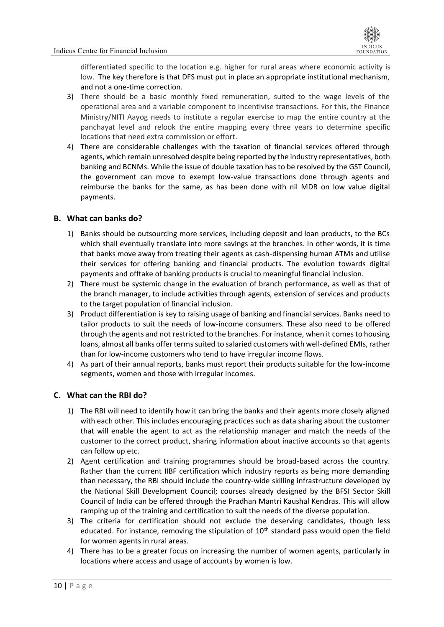differentiated specific to the location e.g. higher for rural areas where economic activity is low. The key therefore is that DFS must put in place an appropriate institutional mechanism, and not a one-time correction.

- 3) There should be a basic monthly fixed remuneration, suited to the wage levels of the operational area and a variable component to incentivise transactions. For this, the Finance Ministry/NITI Aayog needs to institute a regular exercise to map the entire country at the panchayat level and relook the entire mapping every three years to determine specific locations that need extra commission or effort.
- 4) There are considerable challenges with the taxation of financial services offered through agents, which remain unresolved despite being reported by the industry representatives, both banking and BCNMs. While the issue of double taxation has to be resolved by the GST Council, the government can move to exempt low-value transactions done through agents and reimburse the banks for the same, as has been done with nil MDR on low value digital payments.

#### <span id="page-9-0"></span>**B. What can banks do?**

- 1) Banks should be outsourcing more services, including deposit and loan products, to the BCs which shall eventually translate into more savings at the branches. In other words, it is time that banks move away from treating their agents as cash-dispensing human ATMs and utilise their services for offering banking and financial products. The evolution towards digital payments and offtake of banking products is crucial to meaningful financial inclusion.
- 2) There must be systemic change in the evaluation of branch performance, as well as that of the branch manager, to include activities through agents, extension of services and products to the target population of financial inclusion.
- 3) Product differentiation is key to raising usage of banking and financial services. Banks need to tailor products to suit the needs of low-income consumers. These also need to be offered through the agents and not restricted to the branches. For instance, when it comes to housing loans, almost all banks offer terms suited to salaried customers with well-defined EMIs, rather than for low-income customers who tend to have irregular income flows.
- 4) As part of their annual reports, banks must report their products suitable for the low-income segments, women and those with irregular incomes.

#### <span id="page-9-1"></span>**C. What can the RBI do?**

- 1) The RBI will need to identify how it can bring the banks and their agents more closely aligned with each other. This includes encouraging practices such as data sharing about the customer that will enable the agent to act as the relationship manager and match the needs of the customer to the correct product, sharing information about inactive accounts so that agents can follow up etc.
- 2) Agent certification and training programmes should be broad-based across the country. Rather than the current IIBF certification which industry reports as being more demanding than necessary, the RBI should include the country-wide skilling infrastructure developed by the National Skill Development Council; courses already designed by the BFSI Sector Skill Council of India can be offered through the Pradhan Mantri Kaushal Kendras. This will allow ramping up of the training and certification to suit the needs of the diverse population.
- 3) The criteria for certification should not exclude the deserving candidates, though less educated. For instance, removing the stipulation of  $10<sup>th</sup>$  standard pass would open the field for women agents in rural areas.
- 4) There has to be a greater focus on increasing the number of women agents, particularly in locations where access and usage of accounts by women is low.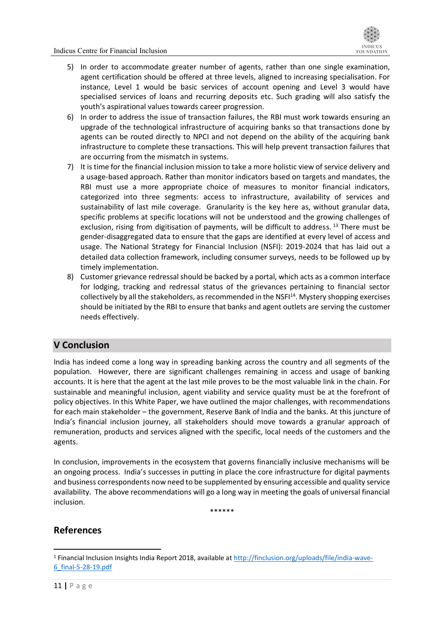- 5) In order to accommodate greater number of agents, rather than one single examination, agent certification should be offered at three levels, aligned to increasing specialisation. For instance, Level 1 would be basic services of account opening and Level 3 would have specialised services of loans and recurring deposits etc. Such grading will also satisfy the youth's aspirational values towards career progression.
- 6) In order to address the issue of transaction failures, the RBI must work towards ensuring an upgrade of the technological infrastructure of acquiring banks so that transactions done by agents can be routed directly to NPCI and not depend on the ability of the acquiring bank infrastructure to complete these transactions. This will help prevent transaction failures that are occurring from the mismatch in systems.
- 7) It is time for the financial inclusion mission to take a more holistic view of service delivery and a usage-based approach. Rather than monitor indicators based on targets and mandates, the RBI must use a more appropriate choice of measures to monitor financial indicators, categorized into three segments: access to infrastructure, availability of services and sustainability of last mile coverage. Granularity is the key here as, without granular data, specific problems at specific locations will not be understood and the growing challenges of exclusion, rising from digitisation of payments, will be difficult to address.<sup>13</sup> There must be gender-disaggregated data to ensure that the gaps are identified at every level of access and usage. The National Strategy for Financial Inclusion (NSFI): 2019-2024 that has laid out a detailed data collection framework, including consumer surveys, needs to be followed up by timely implementation.
- 8) Customer grievance redressal should be backed by a portal, which acts as a common interface for lodging, tracking and redressal status of the grievances pertaining to financial sector collectively by all the stakeholders, as recommended in the NSFI<sup>14</sup>. Mystery shopping exercises should be initiated by the RBI to ensure that banks and agent outlets are serving the customer needs effectively.

#### <span id="page-10-0"></span>**V Conclusion**

India has indeed come a long way in spreading banking across the country and all segments of the population. However, there are significant challenges remaining in access and usage of banking accounts. It is here that the agent at the last mile proves to be the most valuable link in the chain. For sustainable and meaningful inclusion, agent viability and service quality must be at the forefront of policy objectives. In this White Paper, we have outlined the major challenges, with recommendations for each main stakeholder – the government, Reserve Bank of India and the banks. At this juncture of India's financial inclusion journey, all stakeholders should move towards a granular approach of remuneration, products and services aligned with the specific, local needs of the customers and the agents.

In conclusion, improvements in the ecosystem that governs financially inclusive mechanisms will be an ongoing process. India's successes in putting in place the core infrastructure for digital payments and business correspondents now need to be supplemented by ensuring accessible and quality service availability. The above recommendations will go a long way in meeting the goals of universal financial inclusion.

\*\*\*\*\*\*

#### **References**

<sup>1</sup> Financial Inclusion Insights India Report 2018, available a[t http://finclusion.org/uploads/file/india-wave-](http://finclusion.org/uploads/file/india-wave-6_final-5-28-19.pdf)[6\\_final-5-28-19.pdf](http://finclusion.org/uploads/file/india-wave-6_final-5-28-19.pdf)